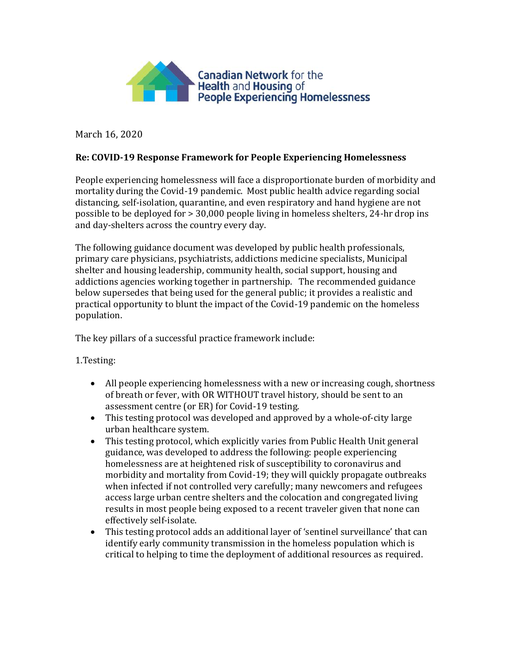

March 16, 2020

## **Re: COVID-19 Response Framework for People Experiencing Homelessness**

People experiencing homelessness will face a disproportionate burden of morbidity and mortality during the Covid-19 pandemic. Most public health advice regarding social distancing, self-isolation, quarantine, and even respiratory and hand hygiene are not possible to be deployed for > 30,000 people living in homeless shelters, 24-hr drop ins and day-shelters across the country every day.

The following guidance document was developed by public health professionals, primary care physicians, psychiatrists, addictions medicine specialists, Municipal shelter and housing leadership, community health, social support, housing and addictions agencies working together in partnership. The recommended guidance below supersedes that being used for the general public; it provides a realistic and practical opportunity to blunt the impact of the Covid-19 pandemic on the homeless population.

The key pillars of a successful practice framework include:

1.Testing:

- All people experiencing homelessness with a new or increasing cough, shortness of breath or fever, with OR WITHOUT travel history, should be sent to an assessment centre (or ER) for Covid-19 testing.
- This testing protocol was developed and approved by a whole-of-city large urban healthcare system.
- This testing protocol, which explicitly varies from Public Health Unit general guidance, was developed to address the following: people experiencing homelessness are at heightened risk of susceptibility to coronavirus and morbidity and mortality from Covid-19; they will quickly propagate outbreaks when infected if not controlled very carefully; many newcomers and refugees access large urban centre shelters and the colocation and congregated living results in most people being exposed to a recent traveler given that none can effectively self-isolate.
- This testing protocol adds an additional layer of 'sentinel surveillance' that can identify early community transmission in the homeless population which is critical to helping to time the deployment of additional resources as required.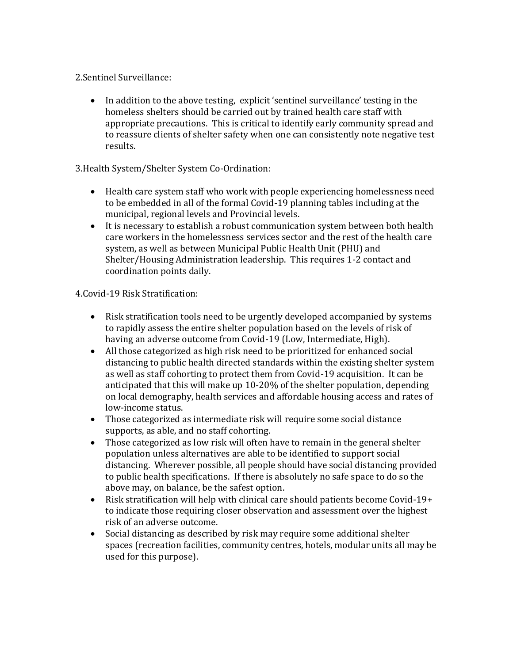2.Sentinel Surveillance:

• In addition to the above testing, explicit 'sentinel surveillance' testing in the homeless shelters should be carried out by trained health care staff with appropriate precautions. This is critical to identify early community spread and to reassure clients of shelter safety when one can consistently note negative test results.

## 3.Health System/Shelter System Co-Ordination:

- Health care system staff who work with people experiencing homelessness need to be embedded in all of the formal Covid-19 planning tables including at the municipal, regional levels and Provincial levels.
- It is necessary to establish a robust communication system between both health care workers in the homelessness services sector and the rest of the health care system, as well as between Municipal Public Health Unit (PHU) and Shelter/Housing Administration leadership. This requires 1-2 contact and coordination points daily.

## 4.Covid-19 Risk Stratification:

- Risk stratification tools need to be urgently developed accompanied by systems to rapidly assess the entire shelter population based on the levels of risk of having an adverse outcome from Covid-19 (Low, Intermediate, High).
- All those categorized as high risk need to be prioritized for enhanced social distancing to public health directed standards within the existing shelter system as well as staff cohorting to protect them from Covid-19 acquisition. It can be anticipated that this will make up 10-20% of the shelter population, depending on local demography, health services and affordable housing access and rates of low-income status.
- Those categorized as intermediate risk will require some social distance supports, as able, and no staff cohorting.
- Those categorized as low risk will often have to remain in the general shelter population unless alternatives are able to be identified to support social distancing. Wherever possible, all people should have social distancing provided to public health specifications. If there is absolutely no safe space to do so the above may, on balance, be the safest option.
- Risk stratification will help with clinical care should patients become Covid-19+ to indicate those requiring closer observation and assessment over the highest risk of an adverse outcome.
- Social distancing as described by risk may require some additional shelter spaces (recreation facilities, community centres, hotels, modular units all may be used for this purpose).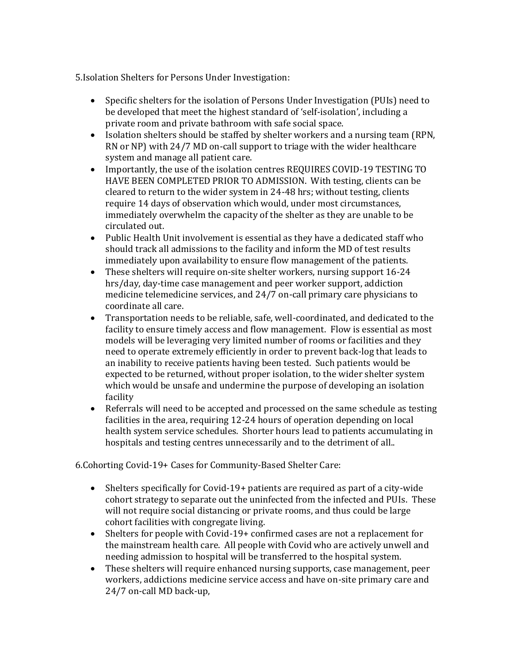5.Isolation Shelters for Persons Under Investigation:

- Specific shelters for the isolation of Persons Under Investigation (PUIs) need to be developed that meet the highest standard of 'self-isolation', including a private room and private bathroom with safe social space.
- Isolation shelters should be staffed by shelter workers and a nursing team (RPN, RN or NP) with 24/7 MD on-call support to triage with the wider healthcare system and manage all patient care.
- Importantly, the use of the isolation centres REQUIRES COVID-19 TESTING TO HAVE BEEN COMPLETED PRIOR TO ADMISSION. With testing, clients can be cleared to return to the wider system in 24-48 hrs; without testing, clients require 14 days of observation which would, under most circumstances, immediately overwhelm the capacity of the shelter as they are unable to be circulated out.
- Public Health Unit involvement is essential as they have a dedicated staff who should track all admissions to the facility and inform the MD of test results immediately upon availability to ensure flow management of the patients.
- These shelters will require on-site shelter workers, nursing support 16-24 hrs/day, day-time case management and peer worker support, addiction medicine telemedicine services, and 24/7 on-call primary care physicians to coordinate all care.
- Transportation needs to be reliable, safe, well-coordinated, and dedicated to the facility to ensure timely access and flow management. Flow is essential as most models will be leveraging very limited number of rooms or facilities and they need to operate extremely efficiently in order to prevent back-log that leads to an inability to receive patients having been tested. Such patients would be expected to be returned, without proper isolation, to the wider shelter system which would be unsafe and undermine the purpose of developing an isolation facility
- Referrals will need to be accepted and processed on the same schedule as testing facilities in the area, requiring 12-24 hours of operation depending on local health system service schedules. Shorter hours lead to patients accumulating in hospitals and testing centres unnecessarily and to the detriment of all..

6.Cohorting Covid-19+ Cases for Community-Based Shelter Care:

- Shelters specifically for Covid-19+ patients are required as part of a city-wide cohort strategy to separate out the uninfected from the infected and PUIs. These will not require social distancing or private rooms, and thus could be large cohort facilities with congregate living.
- Shelters for people with Covid-19+ confirmed cases are not a replacement for the mainstream health care. All people with Covid who are actively unwell and needing admission to hospital will be transferred to the hospital system.
- These shelters will require enhanced nursing supports, case management, peer workers, addictions medicine service access and have on-site primary care and 24/7 on-call MD back-up,